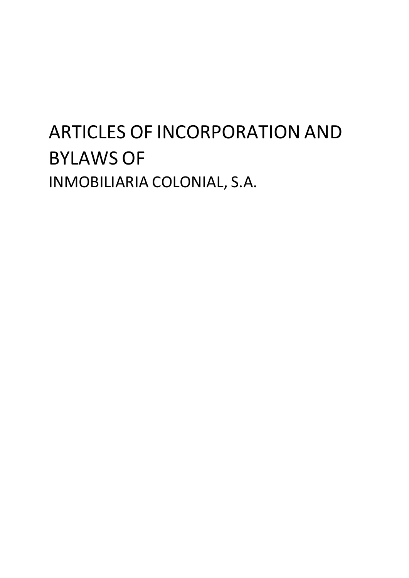# ARTICLES OF INCORPORATION AND BYLAWS OF INMOBILIARIA COLONIAL, S.A.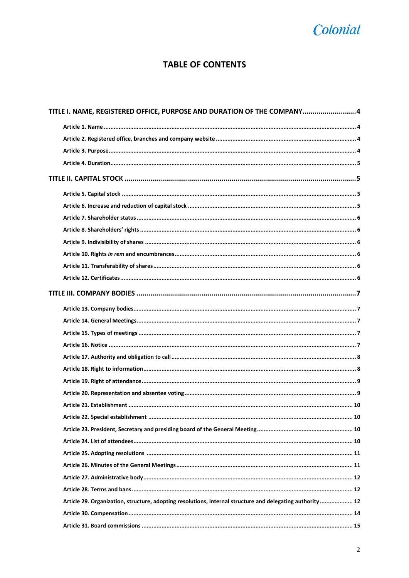### Colonial

### **TABLE OF CONTENTS**

| TITLE I. NAME, REGISTERED OFFICE, PURPOSE AND DURATION OF THE COMPANY4                                    |  |
|-----------------------------------------------------------------------------------------------------------|--|
|                                                                                                           |  |
|                                                                                                           |  |
|                                                                                                           |  |
|                                                                                                           |  |
|                                                                                                           |  |
|                                                                                                           |  |
|                                                                                                           |  |
|                                                                                                           |  |
|                                                                                                           |  |
|                                                                                                           |  |
|                                                                                                           |  |
|                                                                                                           |  |
|                                                                                                           |  |
|                                                                                                           |  |
|                                                                                                           |  |
|                                                                                                           |  |
|                                                                                                           |  |
|                                                                                                           |  |
|                                                                                                           |  |
|                                                                                                           |  |
|                                                                                                           |  |
|                                                                                                           |  |
|                                                                                                           |  |
|                                                                                                           |  |
|                                                                                                           |  |
|                                                                                                           |  |
|                                                                                                           |  |
|                                                                                                           |  |
|                                                                                                           |  |
|                                                                                                           |  |
| Article 29. Organization, structure, adopting resolutions, internal structure and delegating authority 12 |  |
|                                                                                                           |  |
|                                                                                                           |  |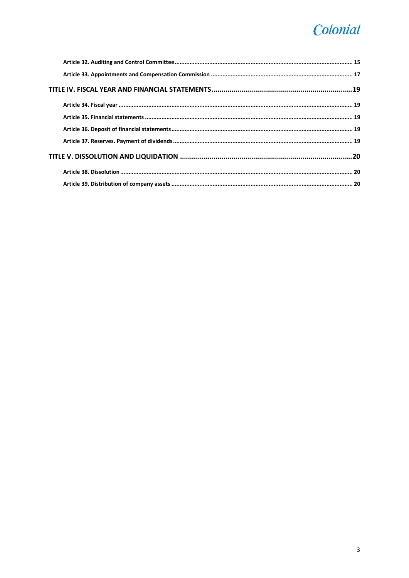## Colonial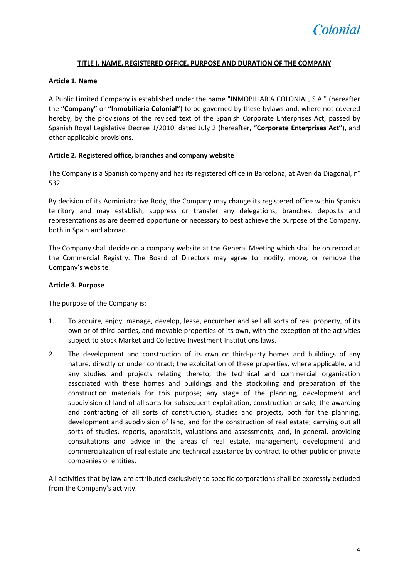#### **TITLE I. NAME, REGISTERED OFFICE, PURPOSE AND DURATION OF THE COMPANY**

#### <span id="page-3-1"></span><span id="page-3-0"></span>**Article 1. Name**

A Public Limited Company is established under the name "INMOBILIARIA COLONIAL, S.A." (hereafter the **"Company"** or **"Inmobiliaria Colonial"**) to be governed by these bylaws and, where not covered hereby, by the provisions of the revised text of the Spanish Corporate Enterprises Act, passed by Spanish Royal Legislative Decree 1/2010, dated July 2 (hereafter, **"Corporate Enterprises Act"**), and other applicable provisions.

#### <span id="page-3-2"></span>**Article 2. Registered office, branches and company website**

The Company is a Spanish company and has its registered office in Barcelona, at Avenida Diagonal, n° 532.

By decision of its Administrative Body, the Company may change its registered office within Spanish territory and may establish, suppress or transfer any delegations, branches, deposits and representations as are deemed opportune or necessary to best achieve the purpose of the Company, both in Spain and abroad.

The Company shall decide on a company website at the General Meeting which shall be on record at the Commercial Registry. The Board of Directors may agree to modify, move, or remove the Company's website.

#### <span id="page-3-3"></span>**Article 3. Purpose**

The purpose of the Company is:

- 1. To acquire, enjoy, manage, develop, lease, encumber and sell all sorts of real property, of its own or of third parties, and movable properties of its own, with the exception of the activities subject to Stock Market and Collective Investment Institutions laws.
- 2. The development and construction of its own or third-party homes and buildings of any nature, directly or under contract; the exploitation of these properties, where applicable, and any studies and projects relating thereto; the technical and commercial organization associated with these homes and buildings and the stockpiling and preparation of the construction materials for this purpose; any stage of the planning, development and subdivision of land of all sorts for subsequent exploitation, construction or sale; the awarding and contracting of all sorts of construction, studies and projects, both for the planning, development and subdivision of land, and for the construction of real estate; carrying out all sorts of studies, reports, appraisals, valuations and assessments; and, in general, providing consultations and advice in the areas of real estate, management, development and commercialization of real estate and technical assistance by contract to other public or private companies or entities.

All activities that by law are attributed exclusively to specific corporations shall be expressly excluded from the Company's activity.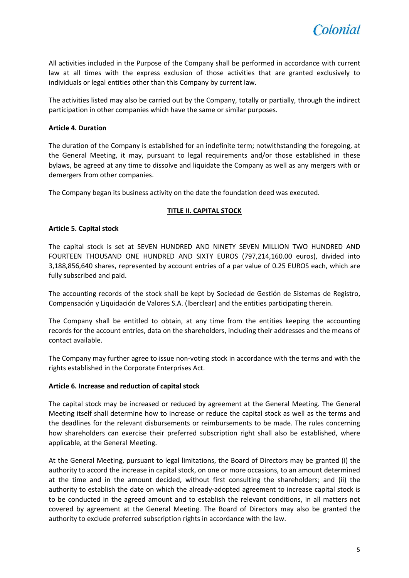

All activities included in the Purpose of the Company shall be performed in accordance with current law at all times with the express exclusion of those activities that are granted exclusively to individuals or legal entities other than this Company by current law.

The activities listed may also be carried out by the Company, totally or partially, through the indirect participation in other companies which have the same or similar purposes.

#### <span id="page-4-0"></span>**Article 4. Duration**

The duration of the Company is established for an indefinite term; notwithstanding the foregoing, at the General Meeting, it may, pursuant to legal requirements and/or those established in these bylaws, be agreed at any time to dissolve and liquidate the Company as well as any mergers with or demergers from other companies.

<span id="page-4-1"></span>The Company began its business activity on the date the foundation deed was executed.

#### **TITLE II. CAPITAL STOCK**

#### <span id="page-4-2"></span>**Article 5. Capital stock**

The capital stock is set at SEVEN HUNDRED AND NINETY SEVEN MILLION TWO HUNDRED AND FOURTEEN THOUSAND ONE HUNDRED AND SIXTY EUROS (797,214,160.00 euros), divided into 3,188,856,640 shares, represented by account entries of a par value of 0.25 EUROS each, which are fully subscribed and paid.

The accounting records of the stock shall be kept by Sociedad de Gestión de Sistemas de Registro, Compensación y Liquidación de Valores S.A. (lberclear) and the entities participating therein.

The Company shall be entitled to obtain, at any time from the entities keeping the accounting records for the account entries, data on the shareholders, including their addresses and the means of contact available.

The Company may further agree to issue non-voting stock in accordance with the terms and with the rights established in the Corporate Enterprises Act.

#### <span id="page-4-3"></span>**Article 6. Increase and reduction of capital stock**

The capital stock may be increased or reduced by agreement at the General Meeting. The General Meeting itself shall determine how to increase or reduce the capital stock as well as the terms and the deadlines for the relevant disbursements or reimbursements to be made. The rules concerning how shareholders can exercise their preferred subscription right shall also be established, where applicable, at the General Meeting.

At the General Meeting, pursuant to legal limitations, the Board of Directors may be granted (i) the authority to accord the increase in capital stock, on one or more occasions, to an amount determined at the time and in the amount decided, without first consulting the shareholders; and (ii) the authority to establish the date on which the already-adopted agreement to increase capital stock is to be conducted in the agreed amount and to establish the relevant conditions, in all matters not covered by agreement at the General Meeting. The Board of Directors may also be granted the authority to exclude preferred subscription rights in accordance with the law.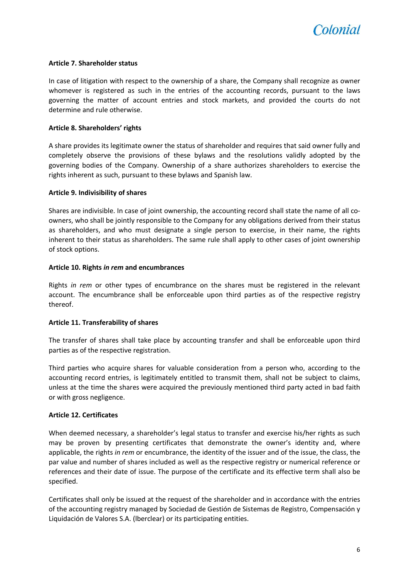

#### <span id="page-5-0"></span>**Article 7. Shareholder status**

In case of litigation with respect to the ownership of a share, the Company shall recognize as owner whomever is registered as such in the entries of the accounting records, pursuant to the laws governing the matter of account entries and stock markets, and provided the courts do not determine and rule otherwise.

#### <span id="page-5-1"></span>**Article 8. Shareholders' rights**

A share provides its legitimate owner the status of shareholder and requires that said owner fully and completely observe the provisions of these bylaws and the resolutions validly adopted by the governing bodies of the Company. Ownership of a share authorizes shareholders to exercise the rights inherent as such, pursuant to these bylaws and Spanish law.

#### <span id="page-5-2"></span>**Article 9. Indivisibility of shares**

Shares are indivisible. In case of joint ownership, the accounting record shall state the name of all coowners, who shall be jointly responsible to the Company for any obligations derived from their status as shareholders, and who must designate a single person to exercise, in their name, the rights inherent to their status as shareholders. The same rule shall apply to other cases of joint ownership of stock options.

#### <span id="page-5-3"></span>**Article 10. Rights** *in rem* **and encumbrances**

Rights *in rem* or other types of encumbrance on the shares must be registered in the relevant account. The encumbrance shall be enforceable upon third parties as of the respective registry thereof.

#### <span id="page-5-4"></span>**Article 11. Transferability of shares**

The transfer of shares shall take place by accounting transfer and shall be enforceable upon third parties as of the respective registration.

Third parties who acquire shares for valuable consideration from a person who, according to the accounting record entries, is legitimately entitled to transmit them, shall not be subject to claims, unless at the time the shares were acquired the previously mentioned third party acted in bad faith or with gross negligence.

#### <span id="page-5-5"></span>**Article 12. Certificates**

When deemed necessary, a shareholder's legal status to transfer and exercise his/her rights as such may be proven by presenting certificates that demonstrate the owner's identity and, where applicable, the rights *in rem* or encumbrance, the identity of the issuer and of the issue, the class, the par value and number of shares included as well as the respective registry or numerical reference or references and their date of issue. The purpose of the certificate and its effective term shall also be specified.

Certificates shall only be issued at the request of the shareholder and in accordance with the entries of the accounting registry managed by Sociedad de Gestión de Sistemas de Registro, Compensación y Liquidación de Valores S.A. (lberclear) or its participating entities.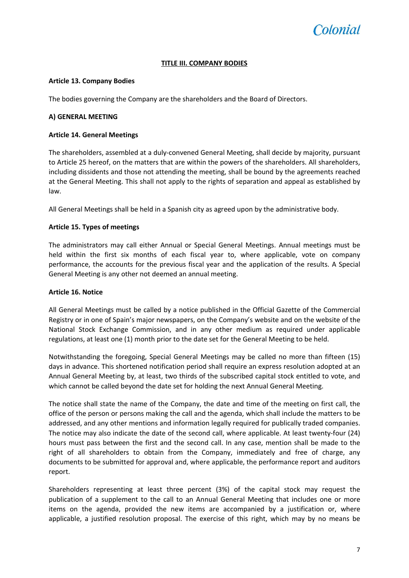### *colonial*

#### **TITLE III. COMPANY BODIES**

#### <span id="page-6-1"></span><span id="page-6-0"></span>**Article 13. Company Bodies**

The bodies governing the Company are the shareholders and the Board of Directors.

#### **A) GENERAL MEETING**

#### <span id="page-6-2"></span>**Article 14. General Meetings**

The shareholders, assembled at a duly-convened General Meeting, shall decide by majority, pursuant to Article 25 hereof, on the matters that are within the powers of the shareholders. All shareholders, including dissidents and those not attending the meeting, shall be bound by the agreements reached at the General Meeting. This shall not apply to the rights of separation and appeal as established by law.

All General Meetings shall be held in a Spanish city as agreed upon by the administrative body.

#### <span id="page-6-3"></span>**Article 15. Types of meetings**

The administrators may call either Annual or Special General Meetings. Annual meetings must be held within the first six months of each fiscal year to, where applicable, vote on company performance, the accounts for the previous fiscal year and the application of the results. A Special General Meeting is any other not deemed an annual meeting.

#### <span id="page-6-4"></span>**Article 16. Notice**

All General Meetings must be called by a notice published in the Official Gazette of the Commercial Registry or in one of Spain's major newspapers, on the Company's website and on the website of the National Stock Exchange Commission, and in any other medium as required under applicable regulations, at least one (1) month prior to the date set for the General Meeting to be held.

Notwithstanding the foregoing, Special General Meetings may be called no more than fifteen (15) days in advance. This shortened notification period shall require an express resolution adopted at an Annual General Meeting by, at least, two thirds of the subscribed capital stock entitled to vote, and which cannot be called beyond the date set for holding the next Annual General Meeting.

The notice shall state the name of the Company, the date and time of the meeting on first call, the office of the person or persons making the call and the agenda, which shall include the matters to be addressed, and any other mentions and information legally required for publically traded companies. The notice may also indicate the date of the second call, where applicable. At least twenty-four (24) hours must pass between the first and the second call. In any case, mention shall be made to the right of all shareholders to obtain from the Company, immediately and free of charge, any documents to be submitted for approval and, where applicable, the performance report and auditors report.

Shareholders representing at least three percent (3%) of the capital stock may request the publication of a supplement to the call to an Annual General Meeting that includes one or more items on the agenda, provided the new items are accompanied by a justification or, where applicable, a justified resolution proposal. The exercise of this right, which may by no means be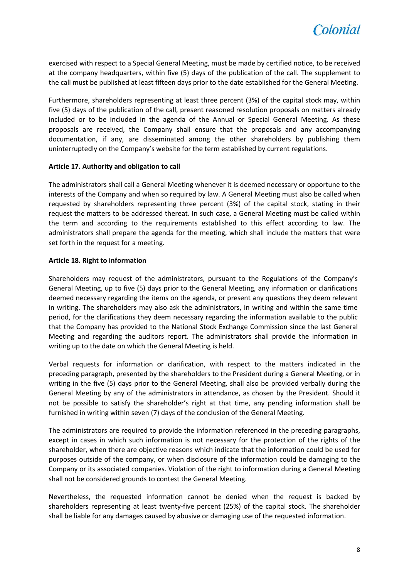

exercised with respect to a Special General Meeting, must be made by certified notice, to be received at the company headquarters, within five (5) days of the publication of the call. The supplement to the call must be published at least fifteen days prior to the date established for the General Meeting.

Furthermore, shareholders representing at least three percent (3%) of the capital stock may, within five (5) days of the publication of the call, present reasoned resolution proposals on matters already included or to be included in the agenda of the Annual or Special General Meeting. As these proposals are received, the Company shall ensure that the proposals and any accompanying documentation, if any, are disseminated among the other shareholders by publishing them uninterruptedly on the Company's website for the term established by current regulations.

#### <span id="page-7-0"></span>**Article 17. Authority and obligation to call**

The administrators shall call a General Meeting whenever it is deemed necessary or opportune to the interests of the Company and when so required by law. A General Meeting must also be called when requested by shareholders representing three percent (3%) of the capital stock, stating in their request the matters to be addressed thereat. In such case, a General Meeting must be called within the term and according to the requirements established to this effect according to law. The administrators shall prepare the agenda for the meeting, which shall include the matters that were set forth in the request for a meeting.

#### <span id="page-7-1"></span>**Article 18. Right to information**

Shareholders may request of the administrators, pursuant to the Regulations of the Company's General Meeting, up to five (5) days prior to the General Meeting, any information or clarifications deemed necessary regarding the items on the agenda, or present any questions they deem relevant in writing. The shareholders may also ask the administrators, in writing and within the same time period, for the clarifications they deem necessary regarding the information available to the public that the Company has provided to the National Stock Exchange Commission since the last General Meeting and regarding the auditors report. The administrators shall provide the information in writing up to the date on which the General Meeting is held.

Verbal requests for information or clarification, with respect to the matters indicated in the preceding paragraph, presented by the shareholders to the President during a General Meeting, or in writing in the five (5) days prior to the General Meeting, shall also be provided verbally during the General Meeting by any of the administrators in attendance, as chosen by the President. Should it not be possible to satisfy the shareholder's right at that time, any pending information shall be furnished in writing within seven (7) days of the conclusion of the General Meeting.

The administrators are required to provide the information referenced in the preceding paragraphs, except in cases in which such information is not necessary for the protection of the rights of the shareholder, when there are objective reasons which indicate that the information could be used for purposes outside of the company, or when disclosure of the information could be damaging to the Company or its associated companies. Violation of the right to information during a General Meeting shall not be considered grounds to contest the General Meeting.

Nevertheless, the requested information cannot be denied when the request is backed by shareholders representing at least twenty-five percent (25%) of the capital stock. The shareholder shall be liable for any damages caused by abusive or damaging use of the requested information.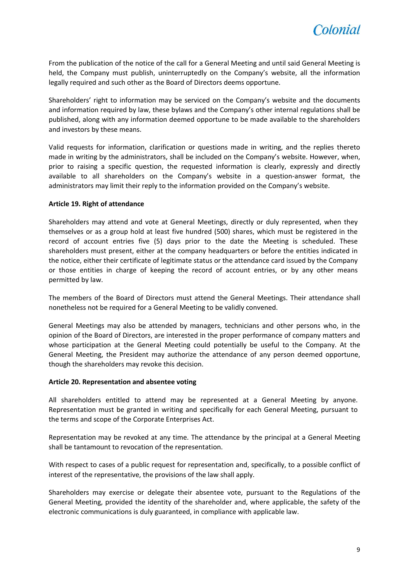

From the publication of the notice of the call for a General Meeting and until said General Meeting is held, the Company must publish, uninterruptedly on the Company's website, all the information legally required and such other as the Board of Directors deems opportune.

Shareholders' right to information may be serviced on the Company's website and the documents and information required by law, these bylaws and the Company's other internal regulations shall be published, along with any information deemed opportune to be made available to the shareholders and investors by these means.

Valid requests for information, clarification or questions made in writing, and the replies thereto made in writing by the administrators, shall be included on the Company's website. However, when, prior to raising a specific question, the requested information is clearly, expressly and directly available to all shareholders on the Company's website in a question-answer format, the administrators may limit their reply to the information provided on the Company's website.

#### <span id="page-8-0"></span>**Article 19. Right of attendance**

Shareholders may attend and vote at General Meetings, directly or duly represented, when they themselves or as a group hold at least five hundred (500) shares, which must be registered in the record of account entries five (5) days prior to the date the Meeting is scheduled. These shareholders must present, either at the company headquarters or before the entities indicated in the notice, either their certificate of legitimate status or the attendance card issued by the Company or those entities in charge of keeping the record of account entries, or by any other means permitted by law.

The members of the Board of Directors must attend the General Meetings. Their attendance shall nonetheless not be required for a General Meeting to be validly convened.

General Meetings may also be attended by managers, technicians and other persons who, in the opinion of the Board of Directors, are interested in the proper performance of company matters and whose participation at the General Meeting could potentially be useful to the Company. At the General Meeting, the President may authorize the attendance of any person deemed opportune, though the shareholders may revoke this decision.

#### <span id="page-8-1"></span>**Article 20. Representation and absentee voting**

All shareholders entitled to attend may be represented at a General Meeting by anyone. Representation must be granted in writing and specifically for each General Meeting, pursuant to the terms and scope of the Corporate Enterprises Act.

Representation may be revoked at any time. The attendance by the principal at a General Meeting shall be tantamount to revocation of the representation.

With respect to cases of a public request for representation and, specifically, to a possible conflict of interest of the representative, the provisions of the law shall apply.

Shareholders may exercise or delegate their absentee vote, pursuant to the Regulations of the General Meeting, provided the identity of the shareholder and, where applicable, the safety of the electronic communications is duly guaranteed, in compliance with applicable law.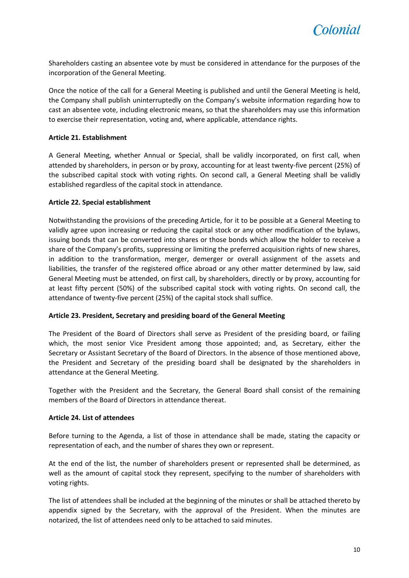Shareholders casting an absentee vote by must be considered in attendance for the purposes of the incorporation of the General Meeting.

Once the notice of the call for a General Meeting is published and until the General Meeting is held, the Company shall publish uninterruptedly on the Company's website information regarding how to cast an absentee vote, including electronic means, so that the shareholders may use this information to exercise their representation, voting and, where applicable, attendance rights.

#### <span id="page-9-0"></span>**Article 21. Establishment**

A General Meeting, whether Annual or Special, shall be validly incorporated, on first call, when attended by shareholders, in person or by proxy, accounting for at least twenty-five percent (25%) of the subscribed capital stock with voting rights. On second call, a General Meeting shall be validly established regardless of the capital stock in attendance.

#### <span id="page-9-1"></span>**Article 22. Special establishment**

Notwithstanding the provisions of the preceding Article, for it to be possible at a General Meeting to validly agree upon increasing or reducing the capital stock or any other modification of the bylaws, issuing bonds that can be converted into shares or those bonds which allow the holder to receive a share of the Company's profits, suppressing or limiting the preferred acquisition rights of new shares, in addition to the transformation, merger, demerger or overall assignment of the assets and liabilities, the transfer of the registered office abroad or any other matter determined by law, said General Meeting must be attended, on first call, by shareholders, directly or by proxy, accounting for at least fifty percent (50%) of the subscribed capital stock with voting rights. On second call, the attendance of twenty-five percent (25%) of the capital stock shall suffice.

#### <span id="page-9-2"></span>**Article 23. President, Secretary and presiding board of the General Meeting**

The President of the Board of Directors shall serve as President of the presiding board, or failing which, the most senior Vice President among those appointed; and, as Secretary, either the Secretary or Assistant Secretary of the Board of Directors. In the absence of those mentioned above, the President and Secretary of the presiding board shall be designated by the shareholders in attendance at the General Meeting.

Together with the President and the Secretary, the General Board shall consist of the remaining members of the Board of Directors in attendance thereat.

#### <span id="page-9-3"></span>**Article 24. List of attendees**

Before turning to the Agenda, a list of those in attendance shall be made, stating the capacity or representation of each, and the number of shares they own or represent.

At the end of the list, the number of shareholders present or represented shall be determined, as well as the amount of capital stock they represent, specifying to the number of shareholders with voting rights.

The list of attendees shall be included at the beginning of the minutes or shall be attached thereto by appendix signed by the Secretary, with the approval of the President. When the minutes are notarized, the list of attendees need only to be attached to said minutes.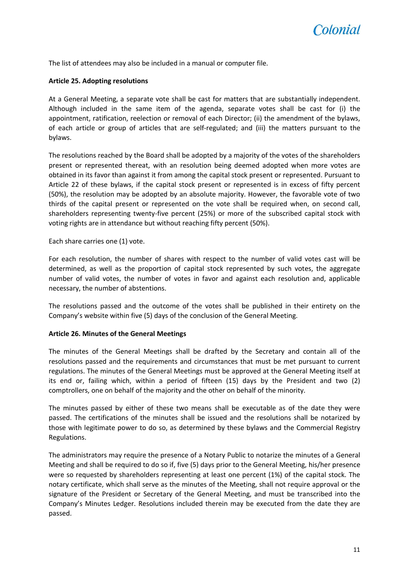The list of attendees may also be included in a manual or computer file.

#### <span id="page-10-0"></span>**Article 25. Adopting resolutions**

At a General Meeting, a separate vote shall be cast for matters that are substantially independent. Although included in the same item of the agenda, separate votes shall be cast for (i) the appointment, ratification, reelection or removal of each Director; (ii) the amendment of the bylaws, of each article or group of articles that are self-regulated; and (iii) the matters pursuant to the bylaws.

The resolutions reached by the Board shall be adopted by a majority of the votes of the shareholders present or represented thereat, with an resolution being deemed adopted when more votes are obtained in its favor than against it from among the capital stock present or represented. Pursuant to Article 22 of these bylaws, if the capital stock present or represented is in excess of fifty percent (50%), the resolution may be adopted by an absolute majority. However, the favorable vote of two thirds of the capital present or represented on the vote shall be required when, on second call, shareholders representing twenty-five percent (25%) or more of the subscribed capital stock with voting rights are in attendance but without reaching fifty percent (50%).

Each share carries one (1) vote.

For each resolution, the number of shares with respect to the number of valid votes cast will be determined, as well as the proportion of capital stock represented by such votes, the aggregate number of valid votes, the number of votes in favor and against each resolution and, applicable necessary, the number of abstentions.

The resolutions passed and the outcome of the votes shall be published in their entirety on the Company's website within five (5) days of the conclusion of the General Meeting.

#### <span id="page-10-1"></span>**Article 26. Minutes of the General Meetings**

The minutes of the General Meetings shall be drafted by the Secretary and contain all of the resolutions passed and the requirements and circumstances that must be met pursuant to current regulations. The minutes of the General Meetings must be approved at the General Meeting itself at its end or, failing which, within a period of fifteen (15) days by the President and two (2) comptrollers, one on behalf of the majority and the other on behalf of the minority.

The minutes passed by either of these two means shall be executable as of the date they were passed. The certifications of the minutes shall be issued and the resolutions shall be notarized by those with legitimate power to do so, as determined by these bylaws and the Commercial Registry Regulations.

The administrators may require the presence of a Notary Public to notarize the minutes of a General Meeting and shall be required to do so if, five (5) days prior to the General Meeting, his/her presence were so requested by shareholders representing at least one percent (1%) of the capital stock. The notary certificate, which shall serve as the minutes of the Meeting, shall not require approval or the signature of the President or Secretary of the General Meeting, and must be transcribed into the Company's Minutes Ledger. Resolutions included therein may be executed from the date they are passed.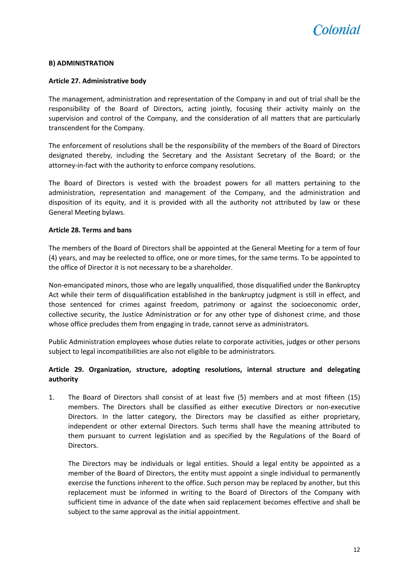

#### **B) ADMINISTRATION**

#### <span id="page-11-0"></span>**Article 27. Administrative body**

The management, administration and representation of the Company in and out of trial shall be the responsibility of the Board of Directors, acting jointly, focusing their activity mainly on the supervision and control of the Company, and the consideration of all matters that are particularly transcendent for the Company.

The enforcement of resolutions shall be the responsibility of the members of the Board of Directors designated thereby, including the Secretary and the Assistant Secretary of the Board; or the attorney-in-fact with the authority to enforce company resolutions.

The Board of Directors is vested with the broadest powers for all matters pertaining to the administration, representation and management of the Company, and the administration and disposition of its equity, and it is provided with all the authority not attributed by law or these General Meeting bylaws.

#### <span id="page-11-1"></span>**Article 28. Terms and bans**

The members of the Board of Directors shall be appointed at the General Meeting for a term of four (4) years, and may be reelected to office, one or more times, for the same terms. To be appointed to the office of Director it is not necessary to be a shareholder.

Non-emancipated minors, those who are legally unqualified, those disqualified under the Bankruptcy Act while their term of disqualification established in the bankruptcy judgment is still in effect, and those sentenced for crimes against freedom, patrimony or against the socioeconomic order, collective security, the Justice Administration or for any other type of dishonest crime, and those whose office precludes them from engaging in trade, cannot serve as administrators.

Public Administration employees whose duties relate to corporate activities, judges or other persons subject to legal incompatibilities are also not eligible to be administrators.

#### <span id="page-11-2"></span>**Article 29. Organization, structure, adopting resolutions, internal structure and delegating authority**

1. The Board of Directors shall consist of at least five (5) members and at most fifteen (15) members. The Directors shall be classified as either executive Directors or non-executive Directors. In the latter category, the Directors may be classified as either proprietary, independent or other external Directors. Such terms shall have the meaning attributed to them pursuant to current legislation and as specified by the Regulations of the Board of Directors.

The Directors may be individuals or legal entities. Should a legal entity be appointed as a member of the Board of Directors, the entity must appoint a single individual to permanently exercise the functions inherent to the office. Such person may be replaced by another, but this replacement must be informed in writing to the Board of Directors of the Company with sufficient time in advance of the date when said replacement becomes effective and shall be subject to the same approval as the initial appointment.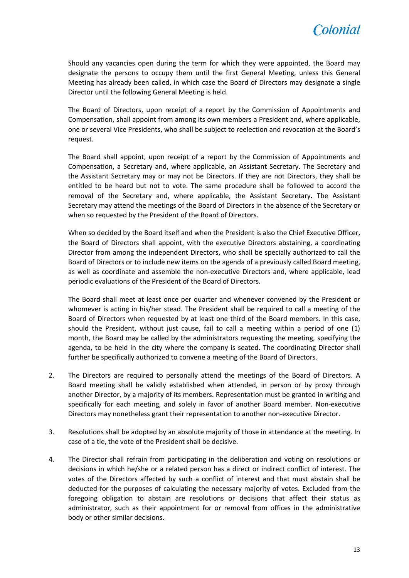

Should any vacancies open during the term for which they were appointed, the Board may designate the persons to occupy them until the first General Meeting, unless this General Meeting has already been called, in which case the Board of Directors may designate a single Director until the following General Meeting is held.

The Board of Directors, upon receipt of a report by the Commission of Appointments and Compensation, shall appoint from among its own members a President and, where applicable, one or several Vice Presidents, who shall be subject to reelection and revocation at the Board's request.

The Board shall appoint, upon receipt of a report by the Commission of Appointments and Compensation, a Secretary and, where applicable, an Assistant Secretary. The Secretary and the Assistant Secretary may or may not be Directors. If they are not Directors, they shall be entitled to be heard but not to vote. The same procedure shall be followed to accord the removal of the Secretary and, where applicable, the Assistant Secretary. The Assistant Secretary may attend the meetings of the Board of Directors in the absence of the Secretary or when so requested by the President of the Board of Directors.

When so decided by the Board itself and when the President is also the Chief Executive Officer, the Board of Directors shall appoint, with the executive Directors abstaining, a coordinating Director from among the independent Directors, who shall be specially authorized to call the Board of Directors or to include new items on the agenda of a previously called Board meeting, as well as coordinate and assemble the non-executive Directors and, where applicable, lead periodic evaluations of the President of the Board of Directors.

The Board shall meet at least once per quarter and whenever convened by the President or whomever is acting in his/her stead. The President shall be required to call a meeting of the Board of Directors when requested by at least one third of the Board members. In this case, should the President, without just cause, fail to call a meeting within a period of one (1) month, the Board may be called by the administrators requesting the meeting, specifying the agenda, to be held in the city where the company is seated. The coordinating Director shall further be specifically authorized to convene a meeting of the Board of Directors.

- 2. The Directors are required to personally attend the meetings of the Board of Directors. A Board meeting shall be validly established when attended, in person or by proxy through another Director, by a majority of its members. Representation must be granted in writing and specifically for each meeting, and solely in favor of another Board member. Non-executive Directors may nonetheless grant their representation to another non-executive Director.
- 3. Resolutions shall be adopted by an absolute majority of those in attendance at the meeting. In case of a tie, the vote of the President shall be decisive.
- 4. The Director shall refrain from participating in the deliberation and voting on resolutions or decisions in which he/she or a related person has a direct or indirect conflict of interest. The votes of the Directors affected by such a conflict of interest and that must abstain shall be deducted for the purposes of calculating the necessary majority of votes. Excluded from the foregoing obligation to abstain are resolutions or decisions that affect their status as administrator, such as their appointment for or removal from offices in the administrative body or other similar decisions.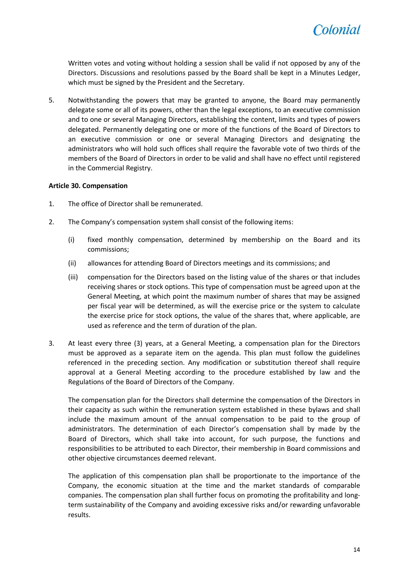

Written votes and voting without holding a session shall be valid if not opposed by any of the Directors. Discussions and resolutions passed by the Board shall be kept in a Minutes Ledger, which must be signed by the President and the Secretary.

5. Notwithstanding the powers that may be granted to anyone, the Board may permanently delegate some or all of its powers, other than the legal exceptions, to an executive commission and to one or several Managing Directors, establishing the content, limits and types of powers delegated. Permanently delegating one or more of the functions of the Board of Directors to an executive commission or one or several Managing Directors and designating the administrators who will hold such offices shall require the favorable vote of two thirds of the members of the Board of Directors in order to be valid and shall have no effect until registered in the Commercial Registry.

#### <span id="page-13-0"></span>**Article 30. Compensation**

- 1. The office of Director shall be remunerated.
- 2. The Company's compensation system shall consist of the following items:
	- (i) fixed monthly compensation, determined by membership on the Board and its commissions;
	- (ii) allowances for attending Board of Directors meetings and its commissions; and
	- (iii) compensation for the Directors based on the listing value of the shares or that includes receiving shares or stock options. This type of compensation must be agreed upon at the General Meeting, at which point the maximum number of shares that may be assigned per fiscal year will be determined, as will the exercise price or the system to calculate the exercise price for stock options, the value of the shares that, where applicable, are used as reference and the term of duration of the plan.
- 3. At least every three (3) years, at a General Meeting, a compensation plan for the Directors must be approved as a separate item on the agenda. This plan must follow the guidelines referenced in the preceding section. Any modification or substitution thereof shall require approval at a General Meeting according to the procedure established by law and the Regulations of the Board of Directors of the Company.

The compensation plan for the Directors shall determine the compensation of the Directors in their capacity as such within the remuneration system established in these bylaws and shall include the maximum amount of the annual compensation to be paid to the group of administrators. The determination of each Director's compensation shall by made by the Board of Directors, which shall take into account, for such purpose, the functions and responsibilities to be attributed to each Director, their membership in Board commissions and other objective circumstances deemed relevant.

The application of this compensation plan shall be proportionate to the importance of the Company, the economic situation at the time and the market standards of comparable companies. The compensation plan shall further focus on promoting the profitability and longterm sustainability of the Company and avoiding excessive risks and/or rewarding unfavorable results.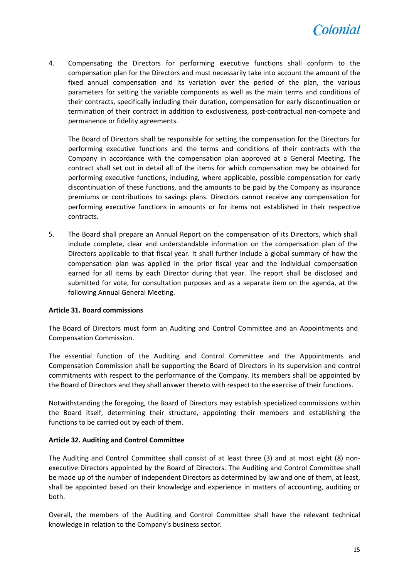

4. Compensating the Directors for performing executive functions shall conform to the compensation plan for the Directors and must necessarily take into account the amount of the fixed annual compensation and its variation over the period of the plan, the various parameters for setting the variable components as well as the main terms and conditions of their contracts, specifically including their duration, compensation for early discontinuation or termination of their contract in addition to exclusiveness, post-contractual non-compete and permanence or fidelity agreements.

The Board of Directors shall be responsible for setting the compensation for the Directors for performing executive functions and the terms and conditions of their contracts with the Company in accordance with the compensation plan approved at a General Meeting. The contract shall set out in detail all of the items for which compensation may be obtained for performing executive functions, including, where applicable, possible compensation for early discontinuation of these functions, and the amounts to be paid by the Company as insurance premiums or contributions to savings plans. Directors cannot receive any compensation for performing executive functions in amounts or for items not established in their respective contracts.

5. The Board shall prepare an Annual Report on the compensation of its Directors, which shall include complete, clear and understandable information on the compensation plan of the Directors applicable to that fiscal year. It shall further include a global summary of how the compensation plan was applied in the prior fiscal year and the individual compensation earned for all items by each Director during that year. The report shall be disclosed and submitted for vote, for consultation purposes and as a separate item on the agenda, at the following Annual General Meeting.

#### <span id="page-14-0"></span>**Article 31. Board commissions**

The Board of Directors must form an Auditing and Control Committee and an Appointments and Compensation Commission.

The essential function of the Auditing and Control Committee and the Appointments and Compensation Commission shall be supporting the Board of Directors in its supervision and control commitments with respect to the performance of the Company. Its members shall be appointed by the Board of Directors and they shall answer thereto with respect to the exercise of their functions.

Notwithstanding the foregoing, the Board of Directors may establish specialized commissions within the Board itself, determining their structure, appointing their members and establishing the functions to be carried out by each of them.

#### <span id="page-14-1"></span>**Article 32. Auditing and Control Committee**

The Auditing and Control Committee shall consist of at least three (3) and at most eight (8) nonexecutive Directors appointed by the Board of Directors. The Auditing and Control Committee shall be made up of the number of independent Directors as determined by law and one of them, at least, shall be appointed based on their knowledge and experience in matters of accounting, auditing or both.

Overall, the members of the Auditing and Control Committee shall have the relevant technical knowledge in relation to the Company's business sector.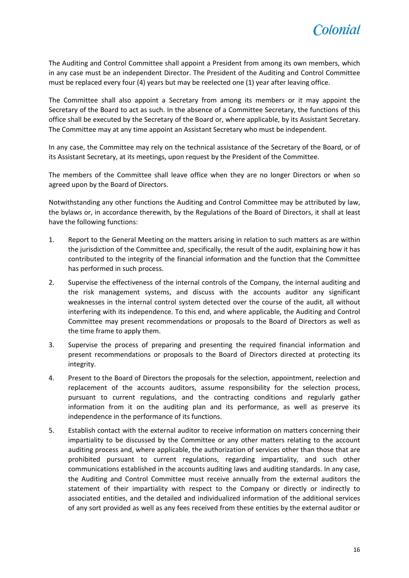

The Auditing and Control Committee shall appoint a President from among its own members, which in any case must be an independent Director. The President of the Auditing and Control Committee must be replaced every four (4) years but may be reelected one (1) year after leaving office.

The Committee shall also appoint a Secretary from among its members or it may appoint the Secretary of the Board to act as such. In the absence of a Committee Secretary, the functions of this office shall be executed by the Secretary of the Board or, where applicable, by its Assistant Secretary. The Committee may at any time appoint an Assistant Secretary who must be independent.

In any case, the Committee may rely on the technical assistance of the Secretary of the Board, or of its Assistant Secretary, at its meetings, upon request by the President of the Committee.

The members of the Committee shall leave office when they are no longer Directors or when so agreed upon by the Board of Directors.

Notwithstanding any other functions the Auditing and Control Committee may be attributed by law, the bylaws or, in accordance therewith, by the Regulations of the Board of Directors, it shall at least have the following functions:

- 1. Report to the General Meeting on the matters arising in relation to such matters as are within the jurisdiction of the Committee and, specifically, the result of the audit, explaining how it has contributed to the integrity of the financial information and the function that the Committee has performed in such process.
- 2. Supervise the effectiveness of the internal controls of the Company, the internal auditing and the risk management systems, and discuss with the accounts auditor any significant weaknesses in the internal control system detected over the course of the audit, all without interfering with its independence. To this end, and where applicable, the Auditing and Control Committee may present recommendations or proposals to the Board of Directors as well as the time frame to apply them.
- 3. Supervise the process of preparing and presenting the required financial information and present recommendations or proposals to the Board of Directors directed at protecting its integrity.
- 4. Present to the Board of Directors the proposals for the selection, appointment, reelection and replacement of the accounts auditors, assume responsibility for the selection process, pursuant to current regulations, and the contracting conditions and regularly gather information from it on the auditing plan and its performance, as well as preserve its independence in the performance of its functions.
- 5. Establish contact with the external auditor to receive information on matters concerning their impartiality to be discussed by the Committee or any other matters relating to the account auditing process and, where applicable, the authorization of services other than those that are prohibited pursuant to current regulations, regarding impartiality, and such other communications established in the accounts auditing laws and auditing standards. In any case, the Auditing and Control Committee must receive annually from the external auditors the statement of their impartiality with respect to the Company or directly or indirectly to associated entities, and the detailed and individualized information of the additional services of any sort provided as well as any fees received from these entities by the external auditor or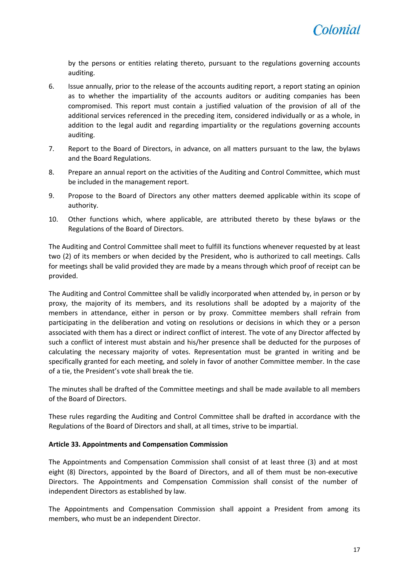by the persons or entities relating thereto, pursuant to the regulations governing accounts auditing.

- 6. Issue annually, prior to the release of the accounts auditing report, a report stating an opinion as to whether the impartiality of the accounts auditors or auditing companies has been compromised. This report must contain a justified valuation of the provision of all of the additional services referenced in the preceding item, considered individually or as a whole, in addition to the legal audit and regarding impartiality or the regulations governing accounts auditing.
- 7. Report to the Board of Directors, in advance, on all matters pursuant to the law, the bylaws and the Board Regulations.
- 8. Prepare an annual report on the activities of the Auditing and Control Committee, which must be included in the management report.
- 9. Propose to the Board of Directors any other matters deemed applicable within its scope of authority.
- 10. Other functions which, where applicable, are attributed thereto by these bylaws or the Regulations of the Board of Directors.

The Auditing and Control Committee shall meet to fulfill its functions whenever requested by at least two (2) of its members or when decided by the President, who is authorized to call meetings. Calls for meetings shall be valid provided they are made by a means through which proof of receipt can be provided.

The Auditing and Control Committee shall be validly incorporated when attended by, in person or by proxy, the majority of its members, and its resolutions shall be adopted by a majority of the members in attendance, either in person or by proxy. Committee members shall refrain from participating in the deliberation and voting on resolutions or decisions in which they or a person associated with them has a direct or indirect conflict of interest. The vote of any Director affected by such a conflict of interest must abstain and his/her presence shall be deducted for the purposes of calculating the necessary majority of votes. Representation must be granted in writing and be specifically granted for each meeting, and solely in favor of another Committee member. In the case of a tie, the President's vote shall break the tie.

The minutes shall be drafted of the Committee meetings and shall be made available to all members of the Board of Directors.

These rules regarding the Auditing and Control Committee shall be drafted in accordance with the Regulations of the Board of Directors and shall, at all times, strive to be impartial.

#### <span id="page-16-0"></span>**Article 33. Appointments and Compensation Commission**

The Appointments and Compensation Commission shall consist of at least three (3) and at most eight (8) Directors, appointed by the Board of Directors, and all of them must be non-executive Directors. The Appointments and Compensation Commission shall consist of the number of independent Directors as established by law.

The Appointments and Compensation Commission shall appoint a President from among its members, who must be an independent Director.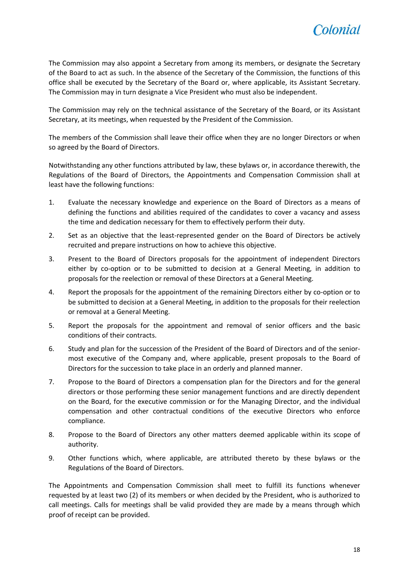

The Commission may also appoint a Secretary from among its members, or designate the Secretary of the Board to act as such. In the absence of the Secretary of the Commission, the functions of this office shall be executed by the Secretary of the Board or, where applicable, its Assistant Secretary. The Commission may in turn designate a Vice President who must also be independent.

The Commission may rely on the technical assistance of the Secretary of the Board, or its Assistant Secretary, at its meetings, when requested by the President of the Commission.

The members of the Commission shall leave their office when they are no longer Directors or when so agreed by the Board of Directors.

Notwithstanding any other functions attributed by law, these bylaws or, in accordance therewith, the Regulations of the Board of Directors, the Appointments and Compensation Commission shall at least have the following functions:

- 1. Evaluate the necessary knowledge and experience on the Board of Directors as a means of defining the functions and abilities required of the candidates to cover a vacancy and assess the time and dedication necessary for them to effectively perform their duty.
- 2. Set as an objective that the least-represented gender on the Board of Directors be actively recruited and prepare instructions on how to achieve this objective.
- 3. Present to the Board of Directors proposals for the appointment of independent Directors either by co-option or to be submitted to decision at a General Meeting, in addition to proposals for the reelection or removal of these Directors at a General Meeting.
- 4. Report the proposals for the appointment of the remaining Directors either by co-option or to be submitted to decision at a General Meeting, in addition to the proposals for their reelection or removal at a General Meeting.
- 5. Report the proposals for the appointment and removal of senior officers and the basic conditions of their contracts.
- 6. Study and plan for the succession of the President of the Board of Directors and of the seniormost executive of the Company and, where applicable, present proposals to the Board of Directors for the succession to take place in an orderly and planned manner.
- 7. Propose to the Board of Directors a compensation plan for the Directors and for the general directors or those performing these senior management functions and are directly dependent on the Board, for the executive commission or for the Managing Director, and the individual compensation and other contractual conditions of the executive Directors who enforce compliance.
- 8. Propose to the Board of Directors any other matters deemed applicable within its scope of authority.
- 9. Other functions which, where applicable, are attributed thereto by these bylaws or the Regulations of the Board of Directors.

The Appointments and Compensation Commission shall meet to fulfill its functions whenever requested by at least two (2) of its members or when decided by the President, who is authorized to call meetings. Calls for meetings shall be valid provided they are made by a means through which proof of receipt can be provided.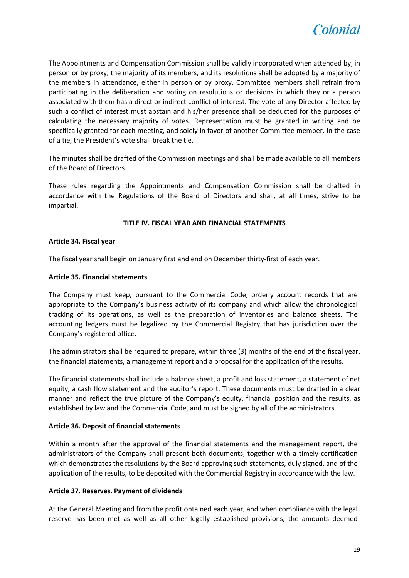

The Appointments and Compensation Commission shall be validly incorporated when attended by, in person or by proxy, the majority of its members, and its resolutions shall be adopted by a majority of the members in attendance, either in person or by proxy. Committee members shall refrain from participating in the deliberation and voting on resolutions or decisions in which they or a person associated with them has a direct or indirect conflict of interest. The vote of any Director affected by such a conflict of interest must abstain and his/her presence shall be deducted for the purposes of calculating the necessary majority of votes. Representation must be granted in writing and be specifically granted for each meeting, and solely in favor of another Committee member. In the case of a tie, the President's vote shall break the tie.

The minutes shall be drafted of the Commission meetings and shall be made available to all members of the Board of Directors.

These rules regarding the Appointments and Compensation Commission shall be drafted in accordance with the Regulations of the Board of Directors and shall, at all times, strive to be impartial.

#### **TITLE IV. FISCAL YEAR AND FINANCIAL STATEMENTS**

#### <span id="page-18-1"></span><span id="page-18-0"></span>**Article 34. Fiscal year**

The fiscal year shall begin on January first and end on December thirty-first of each year.

#### <span id="page-18-2"></span>**Article 35. Financial statements**

The Company must keep, pursuant to the Commercial Code, orderly account records that are appropriate to the Company's business activity of its company and which allow the chronological tracking of its operations, as well as the preparation of inventories and balance sheets. The accounting ledgers must be legalized by the Commercial Registry that has jurisdiction over the Company's registered office.

The administrators shall be required to prepare, within three (3) months of the end of the fiscal year, the financial statements, a management report and a proposal for the application of the results.

The financial statements shall include a balance sheet, a profit and loss statement, a statement of net equity, a cash flow statement and the auditor's report. These documents must be drafted in a clear manner and reflect the true picture of the Company's equity, financial position and the results, as established by law and the Commercial Code, and must be signed by all of the administrators.

#### <span id="page-18-3"></span>**Article 36. Deposit of financial statements**

Within a month after the approval of the financial statements and the management report, the administrators of the Company shall present both documents, together with a timely certification which demonstrates the resolutions by the Board approving such statements, duly signed, and of the application of the results, to be deposited with the Commercial Registry in accordance with the law.

#### <span id="page-18-4"></span>**Article 37. Reserves. Payment of dividends**

At the General Meeting and from the profit obtained each year, and when compliance with the legal reserve has been met as well as all other legally established provisions, the amounts deemed